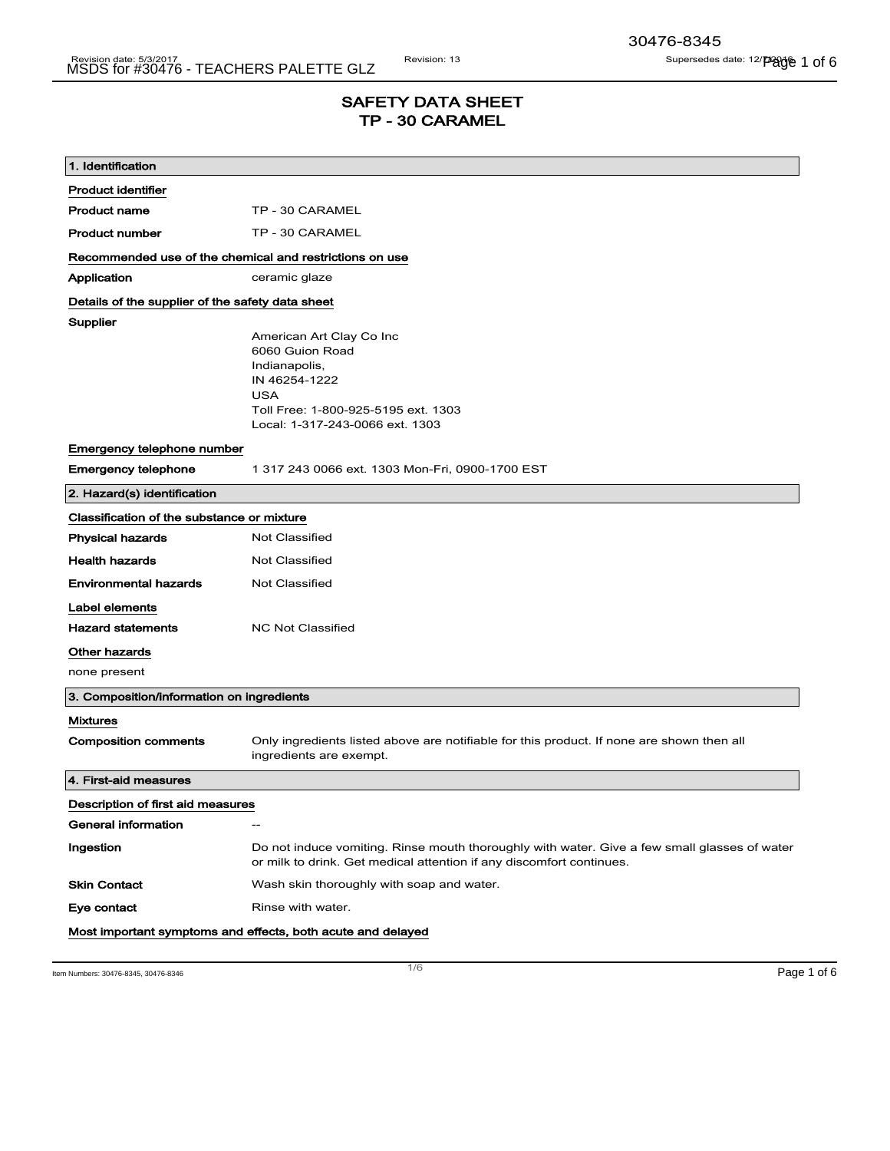# SAFETY DATA SHEET TP - 30 CARAMEL

| 1. Identification                                       |                                                                                                                                                                       |
|---------------------------------------------------------|-----------------------------------------------------------------------------------------------------------------------------------------------------------------------|
| <b>Product identifier</b>                               |                                                                                                                                                                       |
| <b>Product name</b>                                     | TP - 30 CARAMEL                                                                                                                                                       |
| <b>Product number</b>                                   | TP - 30 CARAMEL                                                                                                                                                       |
| Recommended use of the chemical and restrictions on use |                                                                                                                                                                       |
| Application                                             | ceramic glaze                                                                                                                                                         |
| Details of the supplier of the safety data sheet        |                                                                                                                                                                       |
| Supplier                                                | American Art Clay Co Inc<br>6060 Guion Road<br>Indianapolis,<br>IN 46254-1222<br><b>USA</b><br>Toll Free: 1-800-925-5195 ext. 1303<br>Local: 1-317-243-0066 ext. 1303 |
| Emergency telephone number                              |                                                                                                                                                                       |
| <b>Emergency telephone</b>                              | 1 317 243 0066 ext. 1303 Mon-Fri, 0900-1700 EST                                                                                                                       |
| 2. Hazard(s) identification                             |                                                                                                                                                                       |
| Classification of the substance or mixture              |                                                                                                                                                                       |
| <b>Physical hazards</b>                                 | <b>Not Classified</b>                                                                                                                                                 |
| <b>Health hazards</b>                                   | Not Classified                                                                                                                                                        |
| <b>Environmental hazards</b>                            | Not Classified                                                                                                                                                        |
| Label elements                                          |                                                                                                                                                                       |
| <b>Hazard statements</b>                                | <b>NC Not Classified</b>                                                                                                                                              |
| Other hazards                                           |                                                                                                                                                                       |
| none present                                            |                                                                                                                                                                       |
| 3. Composition/information on ingredients               |                                                                                                                                                                       |
| <b>Mixtures</b>                                         |                                                                                                                                                                       |
| <b>Composition comments</b>                             | Only ingredients listed above are notifiable for this product. If none are shown then all<br>ingredients are exempt.                                                  |
| 4. First-aid measures                                   |                                                                                                                                                                       |
| Description of first aid measures                       |                                                                                                                                                                       |
| General information                                     | $\hspace{0.05cm}$ –                                                                                                                                                   |
| Ingestion                                               | Do not induce vomiting. Rinse mouth thoroughly with water. Give a few small glasses of water<br>or milk to drink. Get medical attention if any discomfort continues.  |
| <b>Skin Contact</b>                                     | Wash skin thoroughly with soap and water.                                                                                                                             |
| Eye contact                                             | Rinse with water.                                                                                                                                                     |
|                                                         | Most important symptoms and effects, both acute and delayed                                                                                                           |

Item Numbers: 30476-8345, 30476-8346 Page 1 of 6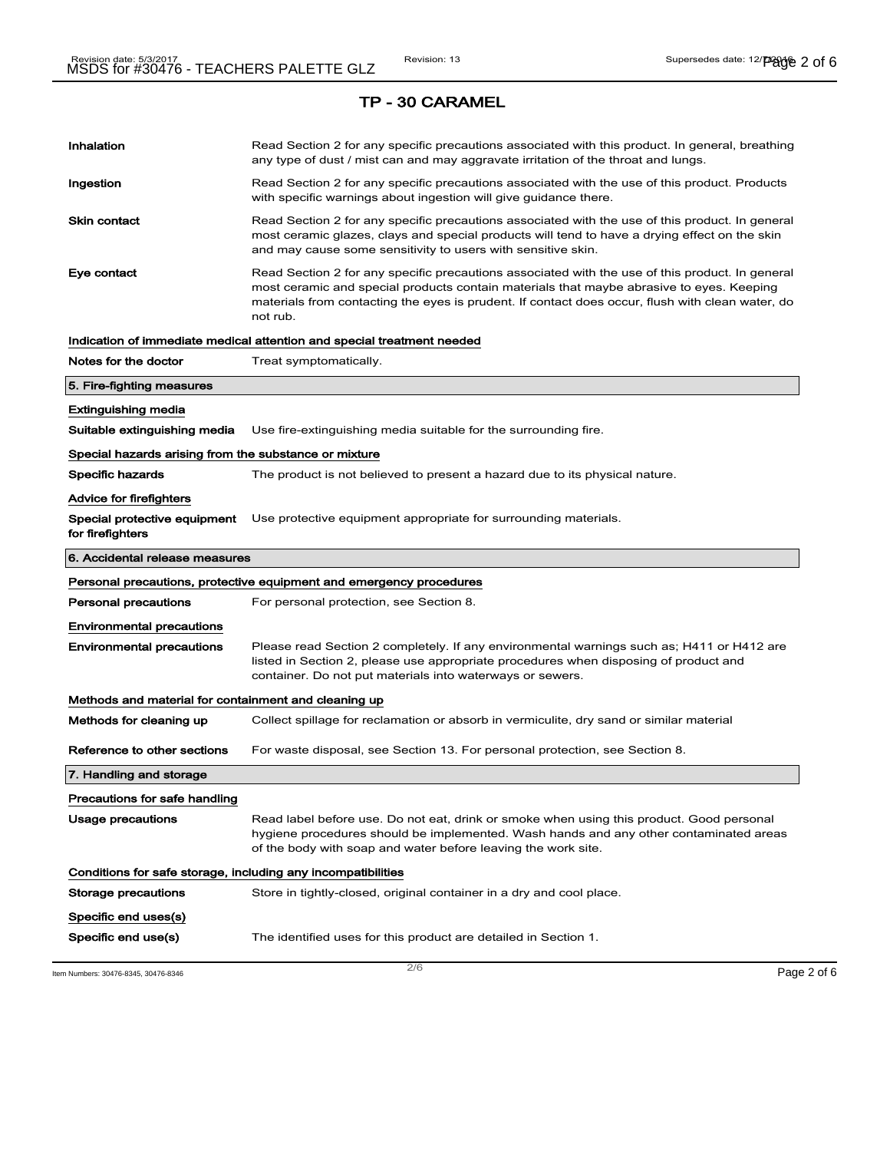# Inhalation **Read Section 2 for any specific precautions associated with this product. In general, breathing** any type of dust / mist can and may aggravate irritation of the throat and lungs. Ingestion **Read Section 2 for any specific precautions associated with the use of this product. Products** with specific warnings about ingestion will give guidance there. Skin contact **Read Section 2 for any specific precautions associated with the use of this product. In general** most ceramic glazes, clays and special products will tend to have a drying effect on the skin and may cause some sensitivity to users with sensitive skin. Eye contact **Read Section 2 for any specific precautions associated with the use of this product. In general** most ceramic and special products contain materials that maybe abrasive to eyes. Keeping materials from contacting the eyes is prudent. If contact does occur, flush with clean water, do not rub. Indication of immediate medical attention and special treatment needed Notes for the doctor Treat symptomatically. 5. Fire-fighting measures Extinguishing media Suitable extinguishing media Use fire-extinguishing media suitable for the surrounding fire. Special hazards arising from the substance or mixture Specific hazards The product is not believed to present a hazard due to its physical nature. Advice for firefighters Special protective equipment for firefighters Use protective equipment appropriate for surrounding materials. 6. Accidental release measures Personal precautions, protective equipment and emergency procedures **Personal precautions** For personal protection, see Section 8. Environmental precautions Environmental precautions Please read Section 2 completely. If any environmental warnings such as; H411 or H412 are listed in Section 2, please use appropriate procedures when disposing of product and container. Do not put materials into waterways or sewers. Methods and material for containment and cleaning up Methods for cleaning up Collect spillage for reclamation or absorb in vermiculite, dry sand or similar material Reference to other sections For waste disposal, see Section 13. For personal protection, see Section 8. 7. Handling and storage Precautions for safe handling Usage precautions **Read label before use. Do not eat, drink or smoke when using this product. Good personal** hygiene procedures should be implemented. Wash hands and any other contaminated areas of the body with soap and water before leaving the work site. Conditions for safe storage, including any incompatibilities Storage precautions Store in tightly-closed, original container in a dry and cool place. Specific end uses(s) Specific end use(s) The identified uses for this product are detailed in Section 1.

Item Numbers: 30476-8345, 30476-8346 Page 2 of 6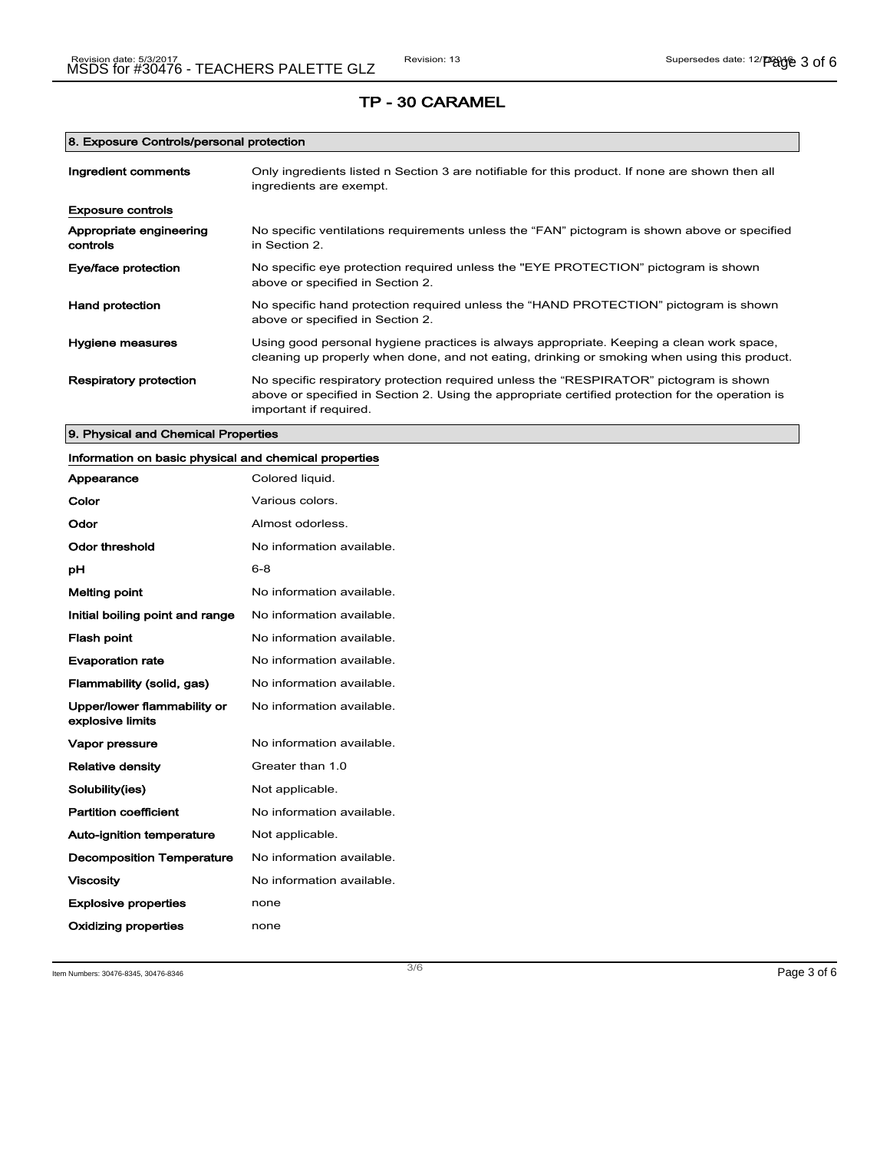## 8. Exposure Controls/personal protection

| Ingredient comments                 | Only ingredients listed n Section 3 are notifiable for this product. If none are shown then all<br>ingredients are exempt.                                                                                           |
|-------------------------------------|----------------------------------------------------------------------------------------------------------------------------------------------------------------------------------------------------------------------|
| <b>Exposure controls</b>            |                                                                                                                                                                                                                      |
| Appropriate engineering<br>controls | No specific ventilations requirements unless the "FAN" pictogram is shown above or specified<br>in Section 2.                                                                                                        |
| Eye/face protection                 | No specific eye protection required unless the "EYE PROTECTION" pictogram is shown<br>above or specified in Section 2.                                                                                               |
| <b>Hand protection</b>              | No specific hand protection required unless the "HAND PROTECTION" pictogram is shown<br>above or specified in Section 2.                                                                                             |
| Hygiene measures                    | Using good personal hygiene practices is always appropriate. Keeping a clean work space,<br>cleaning up properly when done, and not eating, drinking or smoking when using this product.                             |
| Respiratory protection              | No specific respiratory protection required unless the "RESPIRATOR" pictogram is shown<br>above or specified in Section 2. Using the appropriate certified protection for the operation is<br>important if required. |

## 9. Physical and Chemical Properties

| Information on basic physical and chemical properties |                           |
|-------------------------------------------------------|---------------------------|
| Appearance                                            | Colored liquid.           |
| Color                                                 | Various colors.           |
| Odor                                                  | Almost odorless.          |
| <b>Odor threshold</b>                                 | No information available. |
| рH                                                    | $6 - 8$                   |
| <b>Melting point</b>                                  | No information available. |
| Initial boiling point and range                       | No information available. |
| <b>Flash point</b>                                    | No information available. |
| <b>Evaporation rate</b>                               | No information available. |
| Flammability (solid, gas)                             | No information available. |
| Upper/lower flammability or<br>explosive limits       | No information available. |
| Vapor pressure                                        | No information available. |
| <b>Relative density</b>                               | Greater than 1.0          |
| Solubility(ies)                                       | Not applicable.           |
| <b>Partition coefficient</b>                          | No information available. |
| Auto-ignition temperature                             | Not applicable.           |
| <b>Decomposition Temperature</b>                      | No information available. |
| <b>Viscosity</b>                                      | No information available. |
| <b>Explosive properties</b>                           | none                      |
| Oxidizing properties                                  | none                      |

Item Numbers: 30476-8345, 30476-8346 Page 3 of 6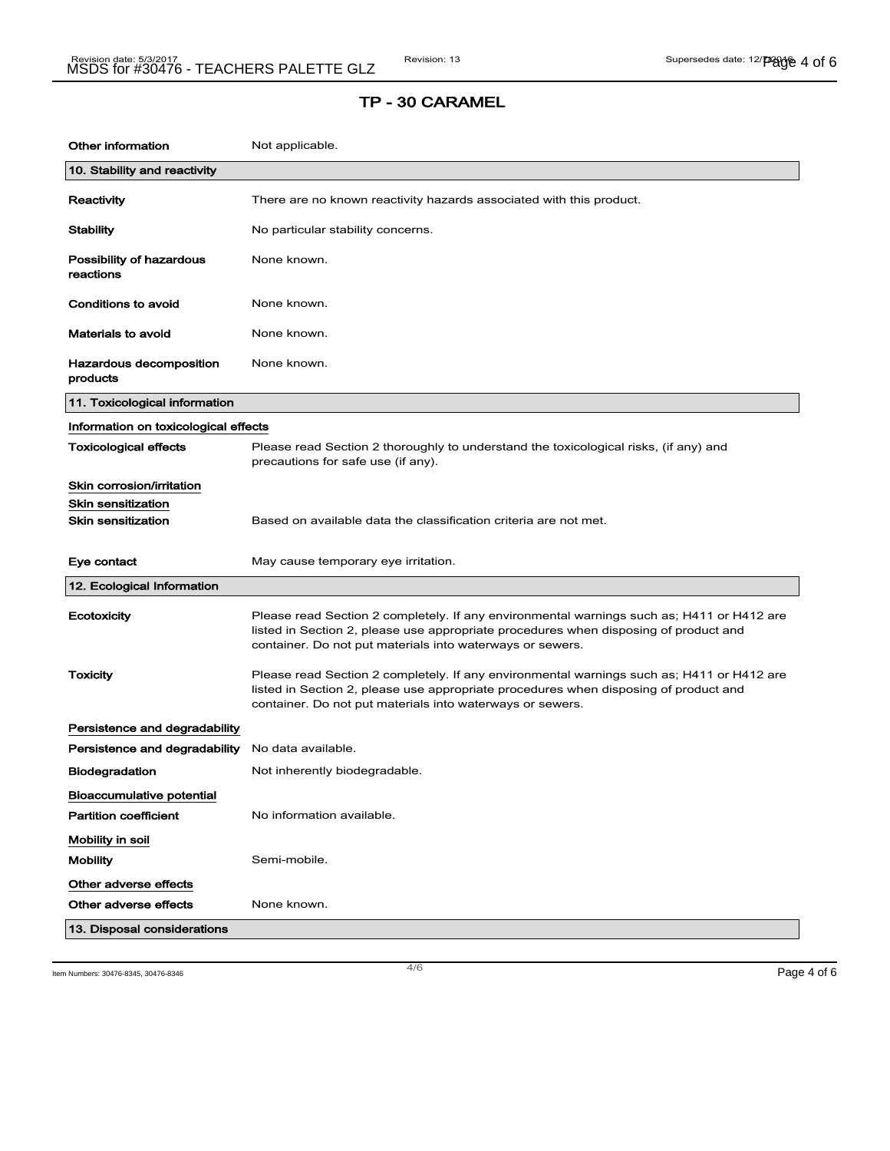| <b>Other information</b>              | Not applicable.                                                                                                                                                                                                                                |
|---------------------------------------|------------------------------------------------------------------------------------------------------------------------------------------------------------------------------------------------------------------------------------------------|
| 10. Stability and reactivity          |                                                                                                                                                                                                                                                |
| Reactivity                            | There are no known reactivity hazards associated with this product.                                                                                                                                                                            |
| Stability                             | No particular stability concerns.                                                                                                                                                                                                              |
| Possibility of hazardous<br>reactions | None known.                                                                                                                                                                                                                                    |
| Conditions to avoid                   | None known.                                                                                                                                                                                                                                    |
| <b>Materials to avoid</b>             | None known.                                                                                                                                                                                                                                    |
| Hazardous decomposition<br>products   | None known.                                                                                                                                                                                                                                    |
| 11. Toxicological information         |                                                                                                                                                                                                                                                |
| Information on toxicological effects  |                                                                                                                                                                                                                                                |
| <b>Toxicological effects</b>          | Please read Section 2 thoroughly to understand the toxicological risks, (if any) and<br>precautions for safe use (if any).                                                                                                                     |
| Skin corrosion/irritation             |                                                                                                                                                                                                                                                |
| <b>Skin sensitization</b>             |                                                                                                                                                                                                                                                |
| <b>Skin sensitization</b>             | Based on available data the classification criteria are not met.                                                                                                                                                                               |
| Eye contact                           | May cause temporary eye irritation.                                                                                                                                                                                                            |
| 12. Ecological Information            |                                                                                                                                                                                                                                                |
| Ecotoxicity                           | Please read Section 2 completely. If any environmental warnings such as; H411 or H412 are<br>listed in Section 2, please use appropriate procedures when disposing of product and<br>container. Do not put materials into waterways or sewers. |
| Toxicity                              | Please read Section 2 completely. If any environmental warnings such as; H411 or H412 are<br>listed in Section 2, please use appropriate procedures when disposing of product and<br>container. Do not put materials into waterways or sewers. |
| Persistence and degradability         |                                                                                                                                                                                                                                                |
| Persistence and degradability         | No data available.                                                                                                                                                                                                                             |
| <b>Biodegradation</b>                 | Not inherently biodegradable.                                                                                                                                                                                                                  |
| Bioaccumulative potential             |                                                                                                                                                                                                                                                |
| <b>Partition coefficient</b>          | No information available.                                                                                                                                                                                                                      |
| Mobility in soil<br><b>Mobility</b>   | Semi-mobile.                                                                                                                                                                                                                                   |
| Other adverse effects                 |                                                                                                                                                                                                                                                |
|                                       |                                                                                                                                                                                                                                                |
| Other adverse effects                 | None known.                                                                                                                                                                                                                                    |

Item Numbers: 30476-8345, 30476-8346  $\,$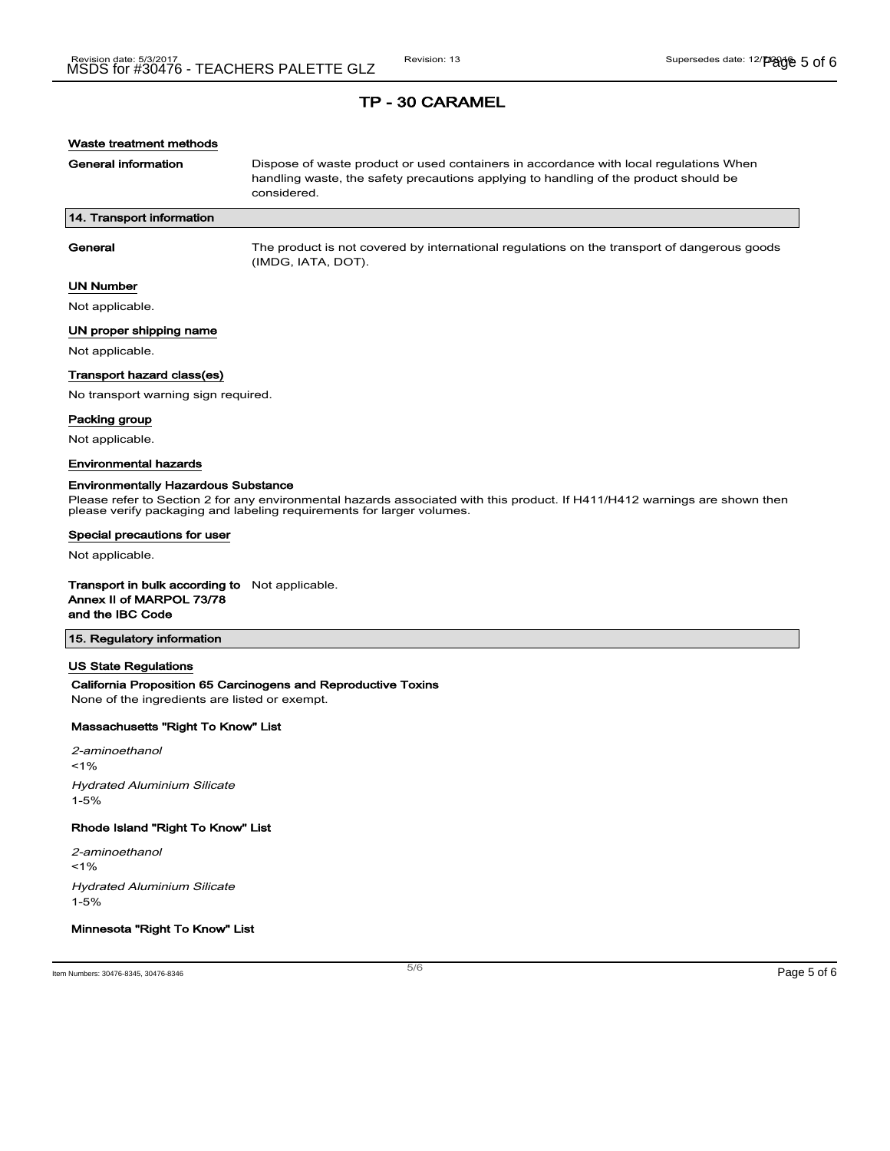## Waste treatment methods

General information **Dispose of waste product or used containers in accordance with local regulations When** handling waste, the safety precautions applying to handling of the product should be considered.

### 14. Transport information

General The product is not covered by international regulations on the transport of dangerous goods (IMDG, IATA, DOT).

#### UN Number

Not applicable.

#### UN proper shipping name

Not applicable.

### Transport hazard class(es)

No transport warning sign required.

#### Packing group

Not applicable.

#### Environmental hazards

#### Environmentally Hazardous Substance

Please refer to Section 2 for any environmental hazards associated with this product. If H411/H412 warnings are shown then please verify packaging and labeling requirements for larger volumes.

#### Special precautions for user

Not applicable.

#### Transport in bulk according to Not applicable. Annex II of MARPOL 73/78

and the IBC Code

## 15. Regulatory information

#### US State Regulations

## California Proposition 65 Carcinogens and Reproductive Toxins

None of the ingredients are listed or exempt.

## Massachusetts "Right To Know" List

2-aminoethanol  $< 1\%$ Hydrated Aluminium Silicate 1-5%

#### Rhode Island "Right To Know" List

2-aminoethanol  $1%$ Hydrated Aluminium Silicate 1-5%

## Minnesota "Right To Know" List